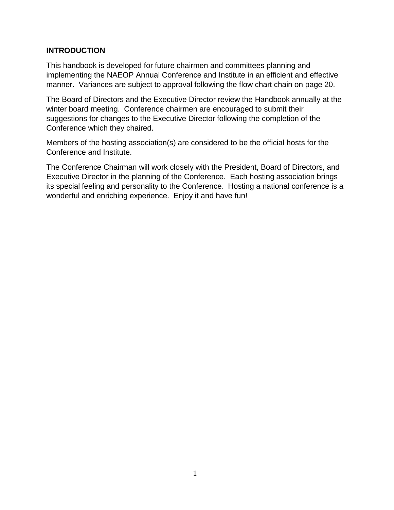## **INTRODUCTION**

This handbook is developed for future chairmen and committees planning and implementing the NAEOP Annual Conference and Institute in an efficient and effective manner. Variances are subject to approval following the flow chart chain on page 20.

The Board of Directors and the Executive Director review the Handbook annually at the winter board meeting. Conference chairmen are encouraged to submit their suggestions for changes to the Executive Director following the completion of the Conference which they chaired.

Members of the hosting association(s) are considered to be the official hosts for the Conference and Institute.

The Conference Chairman will work closely with the President, Board of Directors, and Executive Director in the planning of the Conference. Each hosting association brings its special feeling and personality to the Conference. Hosting a national conference is a wonderful and enriching experience. Enjoy it and have fun!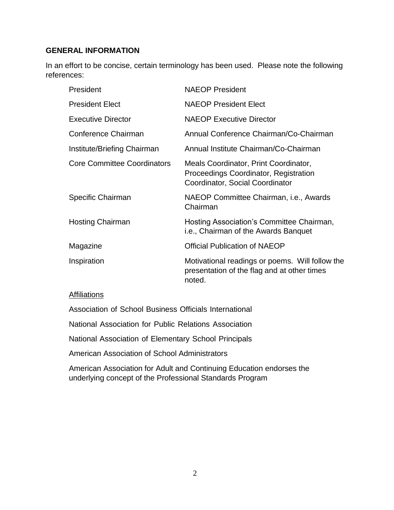## **GENERAL INFORMATION**

In an effort to be concise, certain terminology has been used. Please note the following references:

| President                          | <b>NAEOP President</b>                                                                                            |
|------------------------------------|-------------------------------------------------------------------------------------------------------------------|
| <b>President Elect</b>             | <b>NAEOP President Elect</b>                                                                                      |
| <b>Executive Director</b>          | <b>NAEOP Executive Director</b>                                                                                   |
| Conference Chairman                | Annual Conference Chairman/Co-Chairman                                                                            |
| Institute/Briefing Chairman        | Annual Institute Chairman/Co-Chairman                                                                             |
| <b>Core Committee Coordinators</b> | Meals Coordinator, Print Coordinator,<br>Proceedings Coordinator, Registration<br>Coordinator, Social Coordinator |
| Specific Chairman                  | NAEOP Committee Chairman, i.e., Awards<br>Chairman                                                                |
| <b>Hosting Chairman</b>            | Hosting Association's Committee Chairman,<br>i.e., Chairman of the Awards Banquet                                 |
| Magazine                           | <b>Official Publication of NAEOP</b>                                                                              |
| Inspiration                        | Motivational readings or poems. Will follow the<br>presentation of the flag and at other times<br>noted.          |

### **Affiliations**

Association of School Business Officials International

National Association for Public Relations Association

National Association of Elementary School Principals

American Association of School Administrators

American Association for Adult and Continuing Education endorses the underlying concept of the Professional Standards Program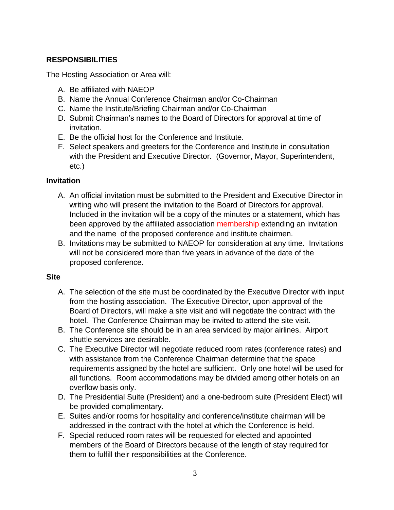# **RESPONSIBILITIES**

The Hosting Association or Area will:

- A. Be affiliated with NAEOP
- B. Name the Annual Conference Chairman and/or Co-Chairman
- C. Name the Institute/Briefing Chairman and/or Co-Chairman
- D. Submit Chairman's names to the Board of Directors for approval at time of invitation.
- E. Be the official host for the Conference and Institute.
- F. Select speakers and greeters for the Conference and Institute in consultation with the President and Executive Director. (Governor, Mayor, Superintendent, etc.)

## **Invitation**

- A. An official invitation must be submitted to the President and Executive Director in writing who will present the invitation to the Board of Directors for approval. Included in the invitation will be a copy of the minutes or a statement, which has been approved by the affiliated association membership extending an invitation and the name of the proposed conference and institute chairmen.
- B. Invitations may be submitted to NAEOP for consideration at any time. Invitations will not be considered more than five years in advance of the date of the proposed conference.

### **Site**

- A. The selection of the site must be coordinated by the Executive Director with input from the hosting association. The Executive Director, upon approval of the Board of Directors, will make a site visit and will negotiate the contract with the hotel. The Conference Chairman may be invited to attend the site visit.
- B. The Conference site should be in an area serviced by major airlines. Airport shuttle services are desirable.
- C. The Executive Director will negotiate reduced room rates (conference rates) and with assistance from the Conference Chairman determine that the space requirements assigned by the hotel are sufficient. Only one hotel will be used for all functions. Room accommodations may be divided among other hotels on an overflow basis only.
- D. The Presidential Suite (President) and a one-bedroom suite (President Elect) will be provided complimentary.
- E. Suites and/or rooms for hospitality and conference/institute chairman will be addressed in the contract with the hotel at which the Conference is held.
- F. Special reduced room rates will be requested for elected and appointed members of the Board of Directors because of the length of stay required for them to fulfill their responsibilities at the Conference.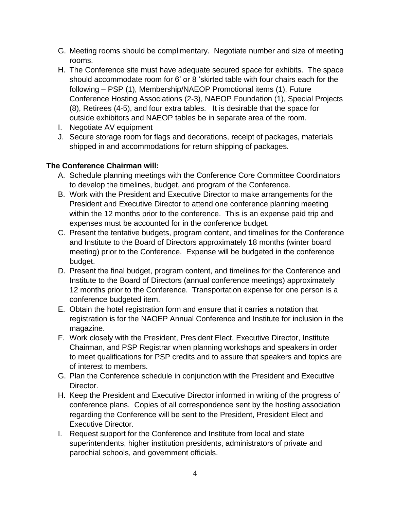- G. Meeting rooms should be complimentary. Negotiate number and size of meeting rooms.
- H. The Conference site must have adequate secured space for exhibits. The space should accommodate room for 6' or 8 'skirted table with four chairs each for the following – PSP (1), Membership/NAEOP Promotional items (1), Future Conference Hosting Associations (2-3), NAEOP Foundation (1), Special Projects (8), Retirees (4-5), and four extra tables. It is desirable that the space for outside exhibitors and NAEOP tables be in separate area of the room.
- I. Negotiate AV equipment
- J. Secure storage room for flags and decorations, receipt of packages, materials shipped in and accommodations for return shipping of packages.

## **The Conference Chairman will:**

- A. Schedule planning meetings with the Conference Core Committee Coordinators to develop the timelines, budget, and program of the Conference.
- B. Work with the President and Executive Director to make arrangements for the President and Executive Director to attend one conference planning meeting within the 12 months prior to the conference. This is an expense paid trip and expenses must be accounted for in the conference budget.
- C. Present the tentative budgets, program content, and timelines for the Conference and Institute to the Board of Directors approximately 18 months (winter board meeting) prior to the Conference. Expense will be budgeted in the conference budget.
- D. Present the final budget, program content, and timelines for the Conference and Institute to the Board of Directors (annual conference meetings) approximately 12 months prior to the Conference. Transportation expense for one person is a conference budgeted item.
- E. Obtain the hotel registration form and ensure that it carries a notation that registration is for the NAOEP Annual Conference and Institute for inclusion in the magazine.
- F. Work closely with the President, President Elect, Executive Director, Institute Chairman, and PSP Registrar when planning workshops and speakers in order to meet qualifications for PSP credits and to assure that speakers and topics are of interest to members.
- G. Plan the Conference schedule in conjunction with the President and Executive Director.
- H. Keep the President and Executive Director informed in writing of the progress of conference plans. Copies of all correspondence sent by the hosting association regarding the Conference will be sent to the President, President Elect and Executive Director.
- I. Request support for the Conference and Institute from local and state superintendents, higher institution presidents, administrators of private and parochial schools, and government officials.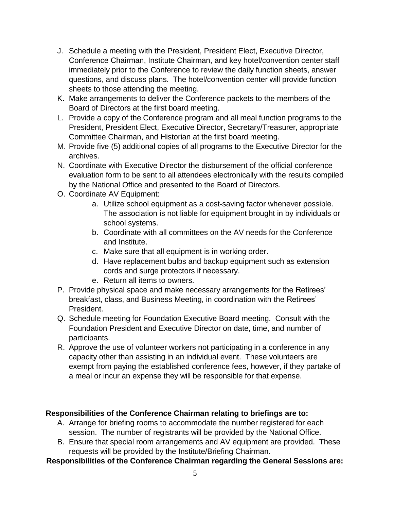- J. Schedule a meeting with the President, President Elect, Executive Director, Conference Chairman, Institute Chairman, and key hotel/convention center staff immediately prior to the Conference to review the daily function sheets, answer questions, and discuss plans. The hotel/convention center will provide function sheets to those attending the meeting.
- K. Make arrangements to deliver the Conference packets to the members of the Board of Directors at the first board meeting.
- L. Provide a copy of the Conference program and all meal function programs to the President, President Elect, Executive Director, Secretary/Treasurer, appropriate Committee Chairman, and Historian at the first board meeting.
- M. Provide five (5) additional copies of all programs to the Executive Director for the archives.
- N. Coordinate with Executive Director the disbursement of the official conference evaluation form to be sent to all attendees electronically with the results compiled by the National Office and presented to the Board of Directors.
- O. Coordinate AV Equipment:
	- a. Utilize school equipment as a cost-saving factor whenever possible. The association is not liable for equipment brought in by individuals or school systems.
	- b. Coordinate with all committees on the AV needs for the Conference and Institute.
	- c. Make sure that all equipment is in working order.
	- d. Have replacement bulbs and backup equipment such as extension cords and surge protectors if necessary.
	- e. Return all items to owners.
- P. Provide physical space and make necessary arrangements for the Retirees' breakfast, class, and Business Meeting, in coordination with the Retirees' President.
- Q. Schedule meeting for Foundation Executive Board meeting. Consult with the Foundation President and Executive Director on date, time, and number of participants.
- R. Approve the use of volunteer workers not participating in a conference in any capacity other than assisting in an individual event. These volunteers are exempt from paying the established conference fees, however, if they partake of a meal or incur an expense they will be responsible for that expense.

## **Responsibilities of the Conference Chairman relating to briefings are to:**

- A. Arrange for briefing rooms to accommodate the number registered for each session. The number of registrants will be provided by the National Office.
- B. Ensure that special room arrangements and AV equipment are provided. These requests will be provided by the Institute/Briefing Chairman.

# **Responsibilities of the Conference Chairman regarding the General Sessions are:**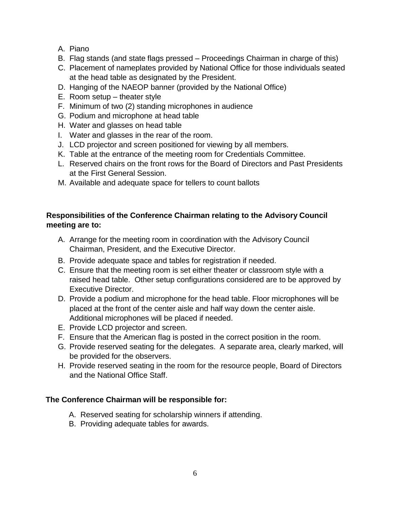- A. Piano
- B. Flag stands (and state flags pressed Proceedings Chairman in charge of this)
- C. Placement of nameplates provided by National Office for those individuals seated at the head table as designated by the President.
- D. Hanging of the NAEOP banner (provided by the National Office)
- E. Room setup theater style
- F. Minimum of two (2) standing microphones in audience
- G. Podium and microphone at head table
- H. Water and glasses on head table
- I. Water and glasses in the rear of the room.
- J. LCD projector and screen positioned for viewing by all members.
- K. Table at the entrance of the meeting room for Credentials Committee.
- L. Reserved chairs on the front rows for the Board of Directors and Past Presidents at the First General Session.
- M. Available and adequate space for tellers to count ballots

## **Responsibilities of the Conference Chairman relating to the Advisory Council meeting are to:**

- A. Arrange for the meeting room in coordination with the Advisory Council Chairman, President, and the Executive Director.
- B. Provide adequate space and tables for registration if needed.
- C. Ensure that the meeting room is set either theater or classroom style with a raised head table. Other setup configurations considered are to be approved by Executive Director.
- D. Provide a podium and microphone for the head table. Floor microphones will be placed at the front of the center aisle and half way down the center aisle. Additional microphones will be placed if needed.
- E. Provide LCD projector and screen.
- F. Ensure that the American flag is posted in the correct position in the room.
- G. Provide reserved seating for the delegates. A separate area, clearly marked, will be provided for the observers.
- H. Provide reserved seating in the room for the resource people, Board of Directors and the National Office Staff.

## **The Conference Chairman will be responsible for:**

- A. Reserved seating for scholarship winners if attending.
- B. Providing adequate tables for awards.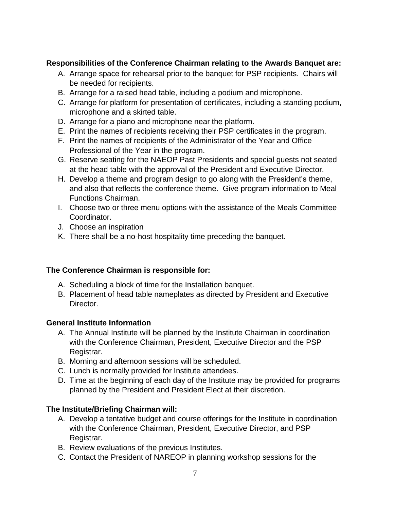# **Responsibilities of the Conference Chairman relating to the Awards Banquet are:**

- A. Arrange space for rehearsal prior to the banquet for PSP recipients. Chairs will be needed for recipients.
- B. Arrange for a raised head table, including a podium and microphone.
- C. Arrange for platform for presentation of certificates, including a standing podium, microphone and a skirted table.
- D. Arrange for a piano and microphone near the platform.
- E. Print the names of recipients receiving their PSP certificates in the program.
- F. Print the names of recipients of the Administrator of the Year and Office Professional of the Year in the program.
- G. Reserve seating for the NAEOP Past Presidents and special guests not seated at the head table with the approval of the President and Executive Director.
- H. Develop a theme and program design to go along with the President's theme, and also that reflects the conference theme. Give program information to Meal Functions Chairman.
- I. Choose two or three menu options with the assistance of the Meals Committee Coordinator.
- J. Choose an inspiration
- K. There shall be a no-host hospitality time preceding the banquet.

## **The Conference Chairman is responsible for:**

- A. Scheduling a block of time for the Installation banquet.
- B. Placement of head table nameplates as directed by President and Executive Director.

## **General Institute Information**

- A. The Annual Institute will be planned by the Institute Chairman in coordination with the Conference Chairman, President, Executive Director and the PSP Registrar.
- B. Morning and afternoon sessions will be scheduled.
- C. Lunch is normally provided for Institute attendees.
- D. Time at the beginning of each day of the Institute may be provided for programs planned by the President and President Elect at their discretion.

## **The Institute/Briefing Chairman will:**

- A. Develop a tentative budget and course offerings for the Institute in coordination with the Conference Chairman, President, Executive Director, and PSP Registrar.
- B. Review evaluations of the previous Institutes.
- C. Contact the President of NAREOP in planning workshop sessions for the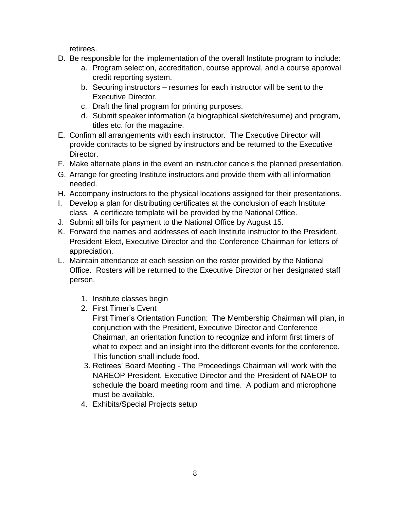retirees.

- D. Be responsible for the implementation of the overall Institute program to include:
	- a. Program selection, accreditation, course approval, and a course approval credit reporting system.
	- b. Securing instructors resumes for each instructor will be sent to the Executive Director.
	- c. Draft the final program for printing purposes.
	- d. Submit speaker information (a biographical sketch/resume) and program, titles etc. for the magazine.
- E. Confirm all arrangements with each instructor. The Executive Director will provide contracts to be signed by instructors and be returned to the Executive Director.
- F. Make alternate plans in the event an instructor cancels the planned presentation.
- G. Arrange for greeting Institute instructors and provide them with all information needed.
- H. Accompany instructors to the physical locations assigned for their presentations.
- I. Develop a plan for distributing certificates at the conclusion of each Institute class. A certificate template will be provided by the National Office.
- J. Submit all bills for payment to the National Office by August 15.
- K. Forward the names and addresses of each Institute instructor to the President, President Elect, Executive Director and the Conference Chairman for letters of appreciation.
- L. Maintain attendance at each session on the roster provided by the National Office. Rosters will be returned to the Executive Director or her designated staff person.
	- 1. Institute classes begin
	- 2. First Timer's Event
		- First Timer's Orientation Function: The Membership Chairman will plan, in conjunction with the President, Executive Director and Conference Chairman, an orientation function to recognize and inform first timers of what to expect and an insight into the different events for the conference. This function shall include food.
	- 3. Retirees' Board Meeting The Proceedings Chairman will work with the NAREOP President, Executive Director and the President of NAEOP to schedule the board meeting room and time. A podium and microphone must be available.
	- 4. Exhibits/Special Projects setup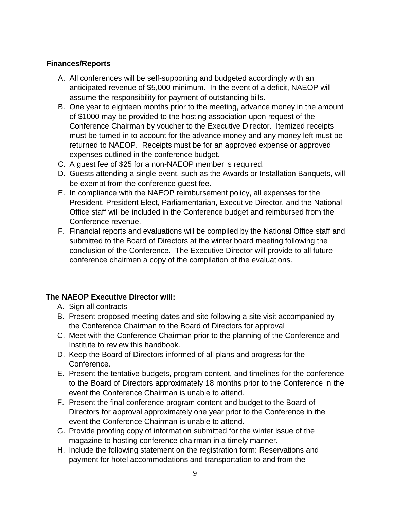# **Finances/Reports**

- A. All conferences will be self-supporting and budgeted accordingly with an anticipated revenue of \$5,000 minimum. In the event of a deficit, NAEOP will assume the responsibility for payment of outstanding bills.
- B. One year to eighteen months prior to the meeting, advance money in the amount of \$1000 may be provided to the hosting association upon request of the Conference Chairman by voucher to the Executive Director. Itemized receipts must be turned in to account for the advance money and any money left must be returned to NAEOP. Receipts must be for an approved expense or approved expenses outlined in the conference budget.
- C. A guest fee of \$25 for a non-NAEOP member is required.
- D. Guests attending a single event, such as the Awards or Installation Banquets, will be exempt from the conference guest fee.
- E. In compliance with the NAEOP reimbursement policy, all expenses for the President, President Elect, Parliamentarian, Executive Director, and the National Office staff will be included in the Conference budget and reimbursed from the Conference revenue.
- F. Financial reports and evaluations will be compiled by the National Office staff and submitted to the Board of Directors at the winter board meeting following the conclusion of the Conference. The Executive Director will provide to all future conference chairmen a copy of the compilation of the evaluations.

## **The NAEOP Executive Director will:**

- A. Sign all contracts
- B. Present proposed meeting dates and site following a site visit accompanied by the Conference Chairman to the Board of Directors for approval
- C. Meet with the Conference Chairman prior to the planning of the Conference and Institute to review this handbook.
- D. Keep the Board of Directors informed of all plans and progress for the Conference.
- E. Present the tentative budgets, program content, and timelines for the conference to the Board of Directors approximately 18 months prior to the Conference in the event the Conference Chairman is unable to attend.
- F. Present the final conference program content and budget to the Board of Directors for approval approximately one year prior to the Conference in the event the Conference Chairman is unable to attend.
- G. Provide proofing copy of information submitted for the winter issue of the magazine to hosting conference chairman in a timely manner.
- H. Include the following statement on the registration form: Reservations and payment for hotel accommodations and transportation to and from the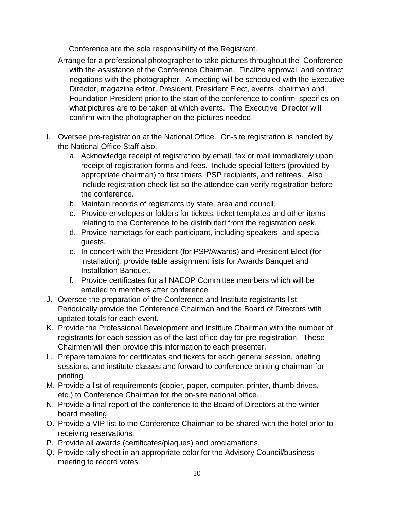Conference are the sole responsibility of the Registrant.

- Arrange for a professional photographer to take pictures throughout the Conference with the assistance of the Conference Chairman. Finalize approval and contract negations with the photographer. A meeting will be scheduled with the Executive Director, magazine editor, President, President Elect, events chairman and Foundation President prior to the start of the conference to confirm specifics on what pictures are to be taken at which events. The Executive Director will confirm with the photographer on the pictures needed.
- I. Oversee pre-registration at the National Office. On-site registration is handled by the National Office Staff also.
	- a. Acknowledge receipt of registration by email, fax or mail immediately upon receipt of registration forms and fees. Include special letters (provided by appropriate chairman) to first timers, PSP recipients, and retirees. Also include registration check list so the attendee can verify registration before the conference.
	- b. Maintain records of registrants by state, area and council.
	- c. Provide envelopes or folders for tickets, ticket templates and other items relating to the Conference to be distributed from the registration desk.
	- d. Provide nametags for each participant, including speakers, and special guests.
	- e. In concert with the President (for PSP/Awards) and President Elect (for installation), provide table assignment lists for Awards Banquet and Installation Banquet.
	- f. Provide certificates for all NAEOP Committee members which will be emailed to members after conference.
- J. Oversee the preparation of the Conference and Institute registrants list. Periodically provide the Conference Chairman and the Board of Directors with updated totals for each event.
- K. Provide the Professional Development and Institute Chairman with the number of registrants for each session as of the last office day for pre-registration. These Chairmen will then provide this information to each presenter.
- L. Prepare template for certificates and tickets for each general session, briefing sessions, and institute classes and forward to conference printing chairman for printing.
- M. Provide a list of requirements (copier, paper, computer, printer, thumb drives, etc.) to Conference Chairman for the on-site national office.
- N. Provide a final report of the conference to the Board of Directors at the winter board meeting.
- O. Provide a VIP list to the Conference Chairman to be shared with the hotel prior to receiving reservations.
- P. Provide all awards (certificates/plaques) and proclamations.
- Q. Provide tally sheet in an appropriate color for the Advisory Council/business meeting to record votes.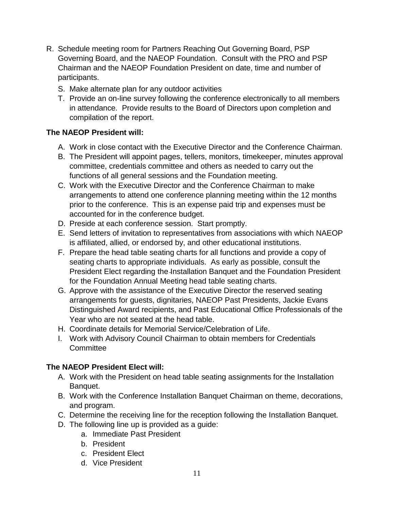- R. Schedule meeting room for Partners Reaching Out Governing Board, PSP Governing Board, and the NAEOP Foundation. Consult with the PRO and PSP Chairman and the NAEOP Foundation President on date, time and number of participants.
	- S. Make alternate plan for any outdoor activities
	- T. Provide an on-line survey following the conference electronically to all members in attendance. Provide results to the Board of Directors upon completion and compilation of the report.

## **The NAEOP President will:**

- A. Work in close contact with the Executive Director and the Conference Chairman.
- B. The President will appoint pages, tellers, monitors, timekeeper, minutes approval committee, credentials committee and others as needed to carry out the functions of all general sessions and the Foundation meeting.
- C. Work with the Executive Director and the Conference Chairman to make arrangements to attend one conference planning meeting within the 12 months prior to the conference. This is an expense paid trip and expenses must be accounted for in the conference budget.
- D. Preside at each conference session. Start promptly.
- E. Send letters of invitation to representatives from associations with which NAEOP is affiliated, allied, or endorsed by, and other educational institutions.
- F. Prepare the head table seating charts for all functions and provide a copy of seating charts to appropriate individuals. As early as possible, consult the President Elect regarding the Installation Banquet and the Foundation President for the Foundation Annual Meeting head table seating charts.
- G. Approve with the assistance of the Executive Director the reserved seating arrangements for guests, dignitaries, NAEOP Past Presidents, Jackie Evans Distinguished Award recipients, and Past Educational Office Professionals of the Year who are not seated at the head table.
- H. Coordinate details for Memorial Service/Celebration of Life.
- I. Work with Advisory Council Chairman to obtain members for Credentials **Committee**

### **The NAEOP President Elect will:**

- A. Work with the President on head table seating assignments for the Installation Banquet.
- B. Work with the Conference Installation Banquet Chairman on theme, decorations, and program.
- C. Determine the receiving line for the reception following the Installation Banquet.
- D. The following line up is provided as a guide:
	- a. Immediate Past President
	- b. President
	- c. President Elect
	- d. Vice President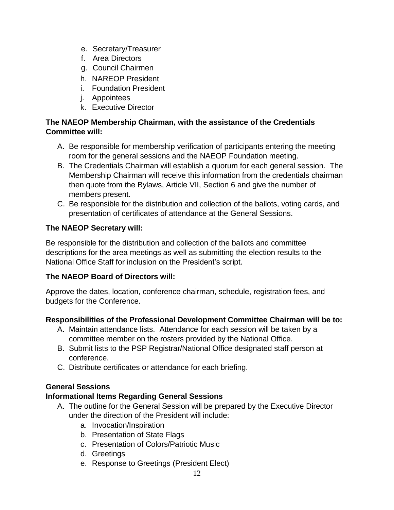- e. Secretary/Treasurer
- f. Area Directors
- g. Council Chairmen
- h. NAREOP President
- i. Foundation President
- j. Appointees
- k. Executive Director

## **The NAEOP Membership Chairman, with the assistance of the Credentials Committee will:**

- A. Be responsible for membership verification of participants entering the meeting room for the general sessions and the NAEOP Foundation meeting.
- B. The Credentials Chairman will establish a quorum for each general session. The Membership Chairman will receive this information from the credentials chairman then quote from the Bylaws, Article VII, Section 6 and give the number of members present.
- C. Be responsible for the distribution and collection of the ballots, voting cards, and presentation of certificates of attendance at the General Sessions.

## **The NAEOP Secretary will:**

Be responsible for the distribution and collection of the ballots and committee descriptions for the area meetings as well as submitting the election results to the National Office Staff for inclusion on the President's script.

### **The NAEOP Board of Directors will:**

Approve the dates, location, conference chairman, schedule, registration fees, and budgets for the Conference.

### **Responsibilities of the Professional Development Committee Chairman will be to:**

- A. Maintain attendance lists. Attendance for each session will be taken by a committee member on the rosters provided by the National Office.
- B. Submit lists to the PSP Registrar/National Office designated staff person at conference.
- C. Distribute certificates or attendance for each briefing.

## **General Sessions**

## **Informational Items Regarding General Sessions**

- A. The outline for the General Session will be prepared by the Executive Director under the direction of the President will include:
	- a. Invocation/Inspiration
	- b. Presentation of State Flags
	- c. Presentation of Colors/Patriotic Music
	- d. Greetings
	- e. Response to Greetings (President Elect)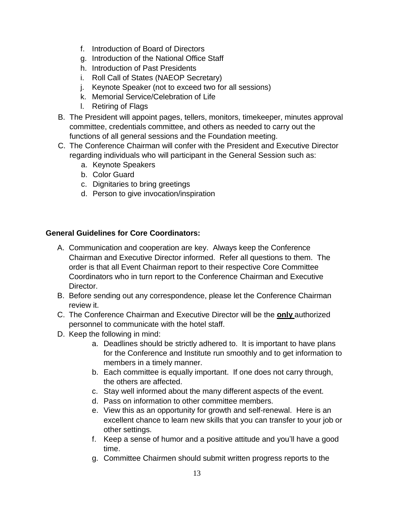- f. Introduction of Board of Directors
- g. Introduction of the National Office Staff
- h. Introduction of Past Presidents
- i. Roll Call of States (NAEOP Secretary)
- j. Keynote Speaker (not to exceed two for all sessions)
- k. Memorial Service/Celebration of Life
- l. Retiring of Flags
- B. The President will appoint pages, tellers, monitors, timekeeper, minutes approval committee, credentials committee, and others as needed to carry out the functions of all general sessions and the Foundation meeting.
- C. The Conference Chairman will confer with the President and Executive Director regarding individuals who will participant in the General Session such as:
	- a. Keynote Speakers
	- b. Color Guard
	- c. Dignitaries to bring greetings
	- d. Person to give invocation/inspiration

# **General Guidelines for Core Coordinators:**

- A. Communication and cooperation are key. Always keep the Conference Chairman and Executive Director informed. Refer all questions to them. The order is that all Event Chairman report to their respective Core Committee Coordinators who in turn report to the Conference Chairman and Executive Director.
- B. Before sending out any correspondence, please let the Conference Chairman review it.
- C. The Conference Chairman and Executive Director will be the **only** authorized personnel to communicate with the hotel staff.
- D. Keep the following in mind:
	- a. Deadlines should be strictly adhered to. It is important to have plans for the Conference and Institute run smoothly and to get information to members in a timely manner.
	- b. Each committee is equally important. If one does not carry through, the others are affected.
	- c. Stay well informed about the many different aspects of the event.
	- d. Pass on information to other committee members.
	- e. View this as an opportunity for growth and self-renewal. Here is an excellent chance to learn new skills that you can transfer to your job or other settings.
	- f. Keep a sense of humor and a positive attitude and you'll have a good time.
	- g. Committee Chairmen should submit written progress reports to the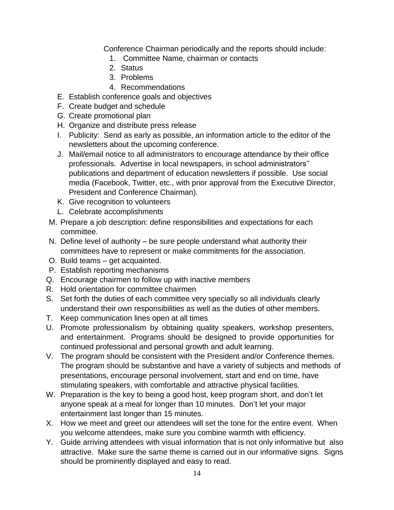Conference Chairman periodically and the reports should include:

- 1. Committee Name, chairman or contacts
- 2. Status
- 3. Problems
- 4. Recommendations
- E. Establish conference goals and objectives
- F. Create budget and schedule
- G. Create promotional plan
- H. Organize and distribute press release
- I. Publicity: Send as early as possible, an information article to the editor of the newsletters about the upcoming conference.
- J. Mail/email notice to all administrators to encourage attendance by their office professionals. Advertise in local newspapers, in school administrators'' publications and department of education newsletters if possible. Use social media (Facebook, Twitter, etc., with prior approval from the Executive Director, President and Conference Chairman).
- K. Give recognition to volunteers
- L. Celebrate accomplishments
- M. Prepare a job description: define responsibilities and expectations for each committee.
- N. Define level of authority be sure people understand what authority their committees have to represent or make commitments for the association.
- O. Build teams get acquainted.
- P. Establish reporting mechanisms
- Q. Encourage chairmen to follow up with inactive members
- R. Hold orientation for committee chairmen
- S. Set forth the duties of each committee very specially so all individuals clearly understand their own responsibilities as well as the duties of other members.
- T. Keep communication lines open at all times
- U. Promote professionalism by obtaining quality speakers, workshop presenters, and entertainment. Programs should be designed to provide opportunities for continued professional and personal growth and adult learning.
- V. The program should be consistent with the President and/or Conference themes. The program should be substantive and have a variety of subjects and methods of presentations, encourage personal involvement, start and end on time, have stimulating speakers, with comfortable and attractive physical facilities.
- W. Preparation is the key to being a good host, keep program short, and don't let anyone speak at a meal for longer than 10 minutes. Don't let your major entertainment last longer than 15 minutes.
- X. How we meet and greet our attendees will set the tone for the entire event. When you welcome attendees, make sure you combine warmth with efficiency.
- Y. Guide arriving attendees with visual information that is not only informative but also attractive. Make sure the same theme is carried out in our informative signs. Signs should be prominently displayed and easy to read.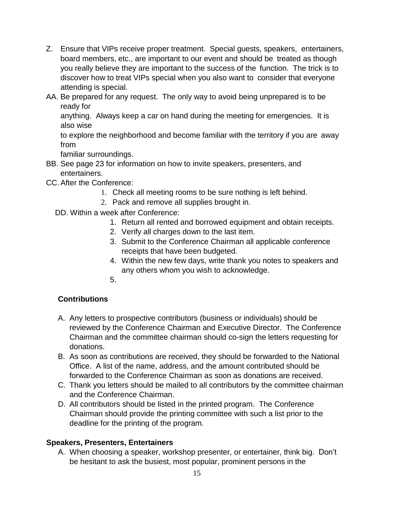- Z. Ensure that VIPs receive proper treatment. Special guests, speakers, entertainers, board members, etc., are important to our event and should be treated as though you really believe they are important to the success of the function. The trick is to discover how to treat VIPs special when you also want to consider that everyone attending is special.
- AA. Be prepared for any request. The only way to avoid being unprepared is to be ready for

anything. Always keep a car on hand during the meeting for emergencies. It is also wise

to explore the neighborhood and become familiar with the territory if you are away from

familiar surroundings.

- BB. See page 23 for information on how to invite speakers, presenters, and entertainers.
- CC.After the Conference:
	- 1. Check all meeting rooms to be sure nothing is left behind.
	- 2. Pack and remove all supplies brought in.
	- DD. Within a week after Conference:
		- 1. Return all rented and borrowed equipment and obtain receipts.
		- 2. Verify all charges down to the last item.
		- 3. Submit to the Conference Chairman all applicable conference receipts that have been budgeted.
		- 4. Within the new few days, write thank you notes to speakers and any others whom you wish to acknowledge.
		- 5.

## **Contributions**

- A. Any letters to prospective contributors (business or individuals) should be reviewed by the Conference Chairman and Executive Director. The Conference Chairman and the committee chairman should co-sign the letters requesting for donations.
- B. As soon as contributions are received, they should be forwarded to the National Office. A list of the name, address, and the amount contributed should be forwarded to the Conference Chairman as soon as donations are received.
- C. Thank you letters should be mailed to all contributors by the committee chairman and the Conference Chairman.
- D. All contributors should be listed in the printed program. The Conference Chairman should provide the printing committee with such a list prior to the deadline for the printing of the program.

## **Speakers, Presenters, Entertainers**

A. When choosing a speaker, workshop presenter, or entertainer, think big. Don't be hesitant to ask the busiest, most popular, prominent persons in the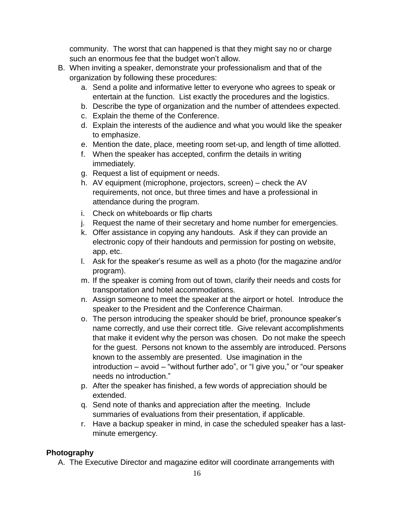community. The worst that can happened is that they might say no or charge such an enormous fee that the budget won't allow.

- B. When inviting a speaker, demonstrate your professionalism and that of the organization by following these procedures:
	- a. Send a polite and informative letter to everyone who agrees to speak or entertain at the function. List exactly the procedures and the logistics.
	- b. Describe the type of organization and the number of attendees expected.
	- c. Explain the theme of the Conference.
	- d. Explain the interests of the audience and what you would like the speaker to emphasize.
	- e. Mention the date, place, meeting room set-up, and length of time allotted.
	- f. When the speaker has accepted, confirm the details in writing immediately.
	- g. Request a list of equipment or needs.
	- h. AV equipment (microphone, projectors, screen) check the AV requirements, not once, but three times and have a professional in attendance during the program.
	- i. Check on whiteboards or flip charts
	- j. Request the name of their secretary and home number for emergencies.
	- k. Offer assistance in copying any handouts. Ask if they can provide an electronic copy of their handouts and permission for posting on website, app, etc.
	- l. Ask for the speaker's resume as well as a photo (for the magazine and/or program).
	- m. If the speaker is coming from out of town, clarify their needs and costs for transportation and hotel accommodations.
	- n. Assign someone to meet the speaker at the airport or hotel. Introduce the speaker to the President and the Conference Chairman.
	- o. The person introducing the speaker should be brief, pronounce speaker's name correctly, and use their correct title. Give relevant accomplishments that make it evident why the person was chosen. Do not make the speech for the guest. Persons not known to the assembly are introduced. Persons known to the assembly are presented. Use imagination in the introduction – avoid – "without further ado", or "I give you," or "our speaker needs no introduction."
	- p. After the speaker has finished, a few words of appreciation should be extended.
	- q. Send note of thanks and appreciation after the meeting. Include summaries of evaluations from their presentation, if applicable.
	- r. Have a backup speaker in mind, in case the scheduled speaker has a lastminute emergency.

## **Photography**

A. The Executive Director and magazine editor will coordinate arrangements with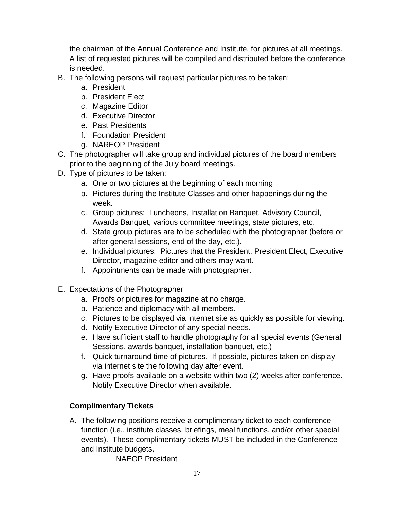the chairman of the Annual Conference and Institute, for pictures at all meetings. A list of requested pictures will be compiled and distributed before the conference is needed.

- B. The following persons will request particular pictures to be taken:
	- a. President
	- b. President Elect
	- c. Magazine Editor
	- d. Executive Director
	- e. Past Presidents
	- f. Foundation President
	- g. NAREOP President
- C. The photographer will take group and individual pictures of the board members prior to the beginning of the July board meetings.
- D. Type of pictures to be taken:
	- a. One or two pictures at the beginning of each morning
	- b. Pictures during the Institute Classes and other happenings during the week.
	- c. Group pictures: Luncheons, Installation Banquet, Advisory Council, Awards Banquet, various committee meetings, state pictures, etc.
	- d. State group pictures are to be scheduled with the photographer (before or after general sessions, end of the day, etc.).
	- e. Individual pictures: Pictures that the President, President Elect, Executive Director, magazine editor and others may want.
	- f. Appointments can be made with photographer.
- E. Expectations of the Photographer
	- a. Proofs or pictures for magazine at no charge.
	- b. Patience and diplomacy with all members.
	- c. Pictures to be displayed via internet site as quickly as possible for viewing.
	- d. Notify Executive Director of any special needs.
	- e. Have sufficient staff to handle photography for all special events (General Sessions, awards banquet, installation banquet, etc.)
	- f. Quick turnaround time of pictures. If possible, pictures taken on display via internet site the following day after event.
	- g. Have proofs available on a website within two (2) weeks after conference. Notify Executive Director when available.

# **Complimentary Tickets**

A. The following positions receive a complimentary ticket to each conference function (i.e., institute classes, briefings, meal functions, and/or other special events). These complimentary tickets MUST be included in the Conference and Institute budgets.

NAEOP President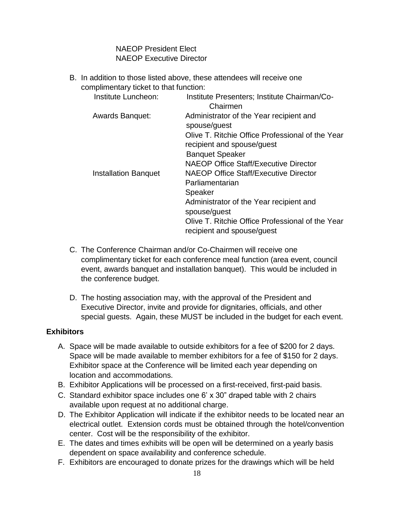NAEOP President Elect NAEOP Executive Director

B. In addition to those listed above, these attendees will receive one complimentary ticket to that function:

| Institute Luncheon:         | Institute Presenters; Institute Chairman/Co-<br>Chairmen                                                                                                                                                                |
|-----------------------------|-------------------------------------------------------------------------------------------------------------------------------------------------------------------------------------------------------------------------|
| <b>Awards Banquet:</b>      | Administrator of the Year recipient and<br>spouse/guest<br>Olive T. Ritchie Office Professional of the Year<br>recipient and spouse/guest<br><b>Banquet Speaker</b><br><b>NAEOP Office Staff/Executive Director</b>     |
| <b>Installation Banquet</b> | <b>NAEOP Office Staff/Executive Director</b><br>Parliamentarian<br>Speaker<br>Administrator of the Year recipient and<br>spouse/guest<br>Olive T. Ritchie Office Professional of the Year<br>recipient and spouse/guest |

- C. The Conference Chairman and/or Co-Chairmen will receive one complimentary ticket for each conference meal function (area event, council event, awards banquet and installation banquet). This would be included in the conference budget.
- D. The hosting association may, with the approval of the President and Executive Director, invite and provide for dignitaries, officials, and other special guests. Again, these MUST be included in the budget for each event.

### **Exhibitors**

- A. Space will be made available to outside exhibitors for a fee of \$200 for 2 days. Space will be made available to member exhibitors for a fee of \$150 for 2 days. Exhibitor space at the Conference will be limited each year depending on location and accommodations.
- B. Exhibitor Applications will be processed on a first-received, first-paid basis.
- C. Standard exhibitor space includes one 6' x 30" draped table with 2 chairs available upon request at no additional charge.
- D. The Exhibitor Application will indicate if the exhibitor needs to be located near an electrical outlet. Extension cords must be obtained through the hotel/convention center. Cost will be the responsibility of the exhibitor.
- E. The dates and times exhibits will be open will be determined on a yearly basis dependent on space availability and conference schedule.
- F. Exhibitors are encouraged to donate prizes for the drawings which will be held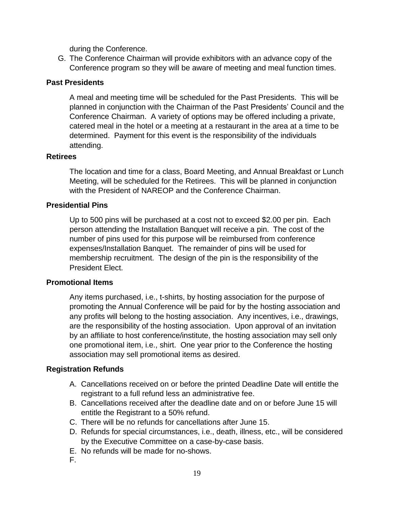during the Conference.

G. The Conference Chairman will provide exhibitors with an advance copy of the Conference program so they will be aware of meeting and meal function times.

## **Past Presidents**

A meal and meeting time will be scheduled for the Past Presidents. This will be planned in conjunction with the Chairman of the Past Presidents' Council and the Conference Chairman. A variety of options may be offered including a private, catered meal in the hotel or a meeting at a restaurant in the area at a time to be determined. Payment for this event is the responsibility of the individuals attending.

### **Retirees**

The location and time for a class, Board Meeting, and Annual Breakfast or Lunch Meeting, will be scheduled for the Retirees. This will be planned in conjunction with the President of NAREOP and the Conference Chairman.

## **Presidential Pins**

Up to 500 pins will be purchased at a cost not to exceed \$2.00 per pin. Each person attending the Installation Banquet will receive a pin. The cost of the number of pins used for this purpose will be reimbursed from conference expenses/Installation Banquet. The remainder of pins will be used for membership recruitment. The design of the pin is the responsibility of the President Elect.

### **Promotional Items**

Any items purchased, i.e., t-shirts, by hosting association for the purpose of promoting the Annual Conference will be paid for by the hosting association and any profits will belong to the hosting association. Any incentives, i.e., drawings, are the responsibility of the hosting association. Upon approval of an invitation by an affiliate to host conference/institute, the hosting association may sell only one promotional item, i.e., shirt. One year prior to the Conference the hosting association may sell promotional items as desired.

## **Registration Refunds**

- A. Cancellations received on or before the printed Deadline Date will entitle the registrant to a full refund less an administrative fee.
- B. Cancellations received after the deadline date and on or before June 15 will entitle the Registrant to a 50% refund.
- C. There will be no refunds for cancellations after June 15.
- D. Refunds for special circumstances, i.e., death, illness, etc., will be considered by the Executive Committee on a case-by-case basis.
- E. No refunds will be made for no-shows.
- F.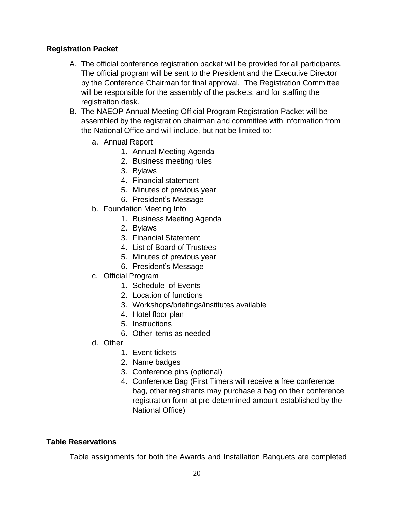## **Registration Packet**

- A. The official conference registration packet will be provided for all participants. The official program will be sent to the President and the Executive Director by the Conference Chairman for final approval. The Registration Committee will be responsible for the assembly of the packets, and for staffing the registration desk.
- B. The NAEOP Annual Meeting Official Program Registration Packet will be assembled by the registration chairman and committee with information from the National Office and will include, but not be limited to:
	- a. Annual Report
		- 1. Annual Meeting Agenda
		- 2. Business meeting rules
		- 3. Bylaws
		- 4. Financial statement
		- 5. Minutes of previous year
		- 6. President's Message
	- b. Foundation Meeting Info
		- 1. Business Meeting Agenda
		- 2. Bylaws
		- 3. Financial Statement
		- 4. List of Board of Trustees
		- 5. Minutes of previous year
		- 6. President's Message
	- c. Official Program
		- 1. Schedule of Events
		- 2. Location of functions
		- 3. Workshops/briefings/institutes available
		- 4. Hotel floor plan
		- 5. Instructions
		- 6. Other items as needed
	- d. Other
		- 1. Event tickets
		- 2. Name badges
		- 3. Conference pins (optional)
		- 4. Conference Bag (First Timers will receive a free conference bag, other registrants may purchase a bag on their conference registration form at pre-determined amount established by the National Office)

### **Table Reservations**

Table assignments for both the Awards and Installation Banquets are completed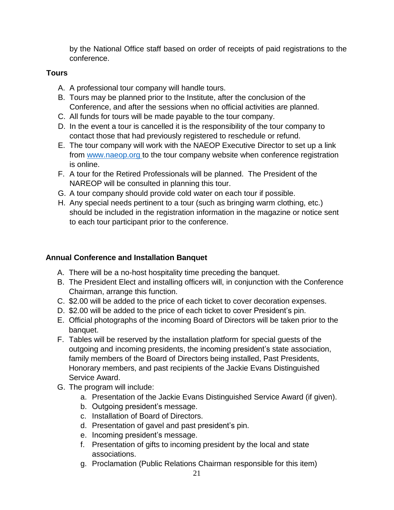by the National Office staff based on order of receipts of paid registrations to the conference.

## **Tours**

- A. A professional tour company will handle tours.
- B. Tours may be planned prior to the Institute, after the conclusion of the Conference, and after the sessions when no official activities are planned.
- C. All funds for tours will be made payable to the tour company.
- D. In the event a tour is cancelled it is the responsibility of the tour company to contact those that had previously registered to reschedule or refund.
- E. The tour company will work with the NAEOP Executive Director to set up a link from [www.naeop.org t](http://www.naeop.org/)o the tour company website when conference registration is online.
- F. A tour for the Retired Professionals will be planned. The President of the NAREOP will be consulted in planning this tour.
- G. A tour company should provide cold water on each tour if possible.
- H. Any special needs pertinent to a tour (such as bringing warm clothing, etc.) should be included in the registration information in the magazine or notice sent to each tour participant prior to the conference.

## **Annual Conference and Installation Banquet**

- A. There will be a no-host hospitality time preceding the banquet.
- B. The President Elect and installing officers will, in conjunction with the Conference Chairman, arrange this function.
- C. \$2.00 will be added to the price of each ticket to cover decoration expenses.
- D. \$2.00 will be added to the price of each ticket to cover President's pin.
- E. Official photographs of the incoming Board of Directors will be taken prior to the banquet.
- F. Tables will be reserved by the installation platform for special guests of the outgoing and incoming presidents, the incoming president's state association, family members of the Board of Directors being installed, Past Presidents, Honorary members, and past recipients of the Jackie Evans Distinguished Service Award.
- G. The program will include:
	- a. Presentation of the Jackie Evans Distinguished Service Award (if given).
	- b. Outgoing president's message.
	- c. Installation of Board of Directors.
	- d. Presentation of gavel and past president's pin.
	- e. Incoming president's message.
	- f. Presentation of gifts to incoming president by the local and state associations.
	- g. Proclamation (Public Relations Chairman responsible for this item)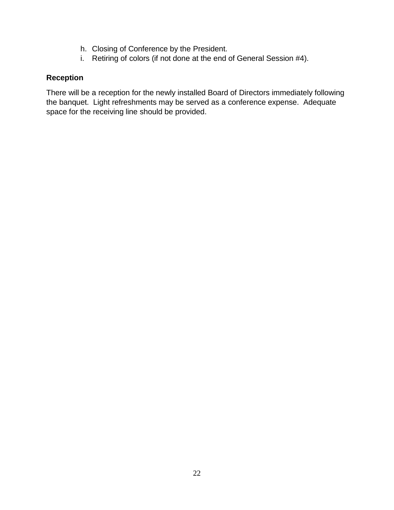- h. Closing of Conference by the President.
- i. Retiring of colors (if not done at the end of General Session #4).

## **Reception**

There will be a reception for the newly installed Board of Directors immediately following the banquet. Light refreshments may be served as a conference expense. Adequate space for the receiving line should be provided.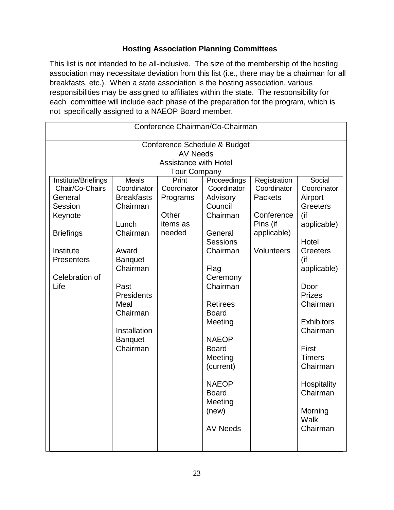## **Hosting Association Planning Committees**

This list is not intended to be all-inclusive. The size of the membership of the hosting association may necessitate deviation from this list (i.e., there may be a chairman for all breakfasts, etc.). When a state association is the hosting association, various responsibilities may be assigned to affiliates within the state. The responsibility for each committee will include each phase of the preparation for the program, which is not specifically assigned to a NAEOP Board member.

| Conference Chairman/Co-Chairman |                   |             |                 |                |                   |  |  |  |
|---------------------------------|-------------------|-------------|-----------------|----------------|-------------------|--|--|--|
| Conference Schedule & Budget    |                   |             |                 |                |                   |  |  |  |
| <b>AV Needs</b>                 |                   |             |                 |                |                   |  |  |  |
| <b>Assistance with Hotel</b>    |                   |             |                 |                |                   |  |  |  |
| <b>Tour Company</b>             |                   |             |                 |                |                   |  |  |  |
| Institute/Briefings             | <b>Meals</b>      | Print       | Proceedings     | Registration   | Social            |  |  |  |
| Chair/Co-Chairs                 | Coordinator       | Coordinator | Coordinator     | Coordinator    | Coordinator       |  |  |  |
| General                         | <b>Breakfasts</b> | Programs    | Advisory        | <b>Packets</b> | Airport           |  |  |  |
| Session                         | Chairman          |             | Council         |                | <b>Greeters</b>   |  |  |  |
| Keynote                         |                   | Other       | Chairman        | Conference     | $($ if            |  |  |  |
|                                 | Lunch             | items as    |                 | Pins (if       | applicable)       |  |  |  |
| <b>Briefings</b>                | Chairman          | needed      | General         | applicable)    |                   |  |  |  |
|                                 |                   |             | <b>Sessions</b> |                | Hotel             |  |  |  |
| Institute                       | Award             |             | Chairman        | Volunteers     | Greeters          |  |  |  |
| Presenters                      | <b>Banquet</b>    |             |                 |                | (if               |  |  |  |
|                                 | Chairman          |             | Flag            |                | applicable)       |  |  |  |
| Celebration of                  |                   |             | Ceremony        |                |                   |  |  |  |
| Life                            | Past              |             | Chairman        |                | Door              |  |  |  |
|                                 | Presidents        |             |                 |                | <b>Prizes</b>     |  |  |  |
|                                 | Meal              |             | <b>Retirees</b> |                | Chairman          |  |  |  |
|                                 | Chairman          |             | <b>Board</b>    |                |                   |  |  |  |
|                                 |                   |             | Meeting         |                | <b>Exhibitors</b> |  |  |  |
|                                 | Installation      |             |                 |                | Chairman          |  |  |  |
|                                 | <b>Banquet</b>    |             | <b>NAEOP</b>    |                |                   |  |  |  |
|                                 | Chairman          |             | <b>Board</b>    |                | First             |  |  |  |
|                                 |                   |             | Meeting         |                | <b>Timers</b>     |  |  |  |
|                                 |                   |             | (current)       |                | Chairman          |  |  |  |
|                                 |                   |             | <b>NAEOP</b>    |                | Hospitality       |  |  |  |
|                                 |                   |             | <b>Board</b>    |                | Chairman          |  |  |  |
|                                 |                   |             | Meeting         |                |                   |  |  |  |
|                                 |                   |             | (new)           |                | Morning           |  |  |  |
|                                 |                   |             |                 |                | Walk              |  |  |  |
|                                 |                   |             | <b>AV Needs</b> |                | Chairman          |  |  |  |
|                                 |                   |             |                 |                |                   |  |  |  |
|                                 |                   |             |                 |                |                   |  |  |  |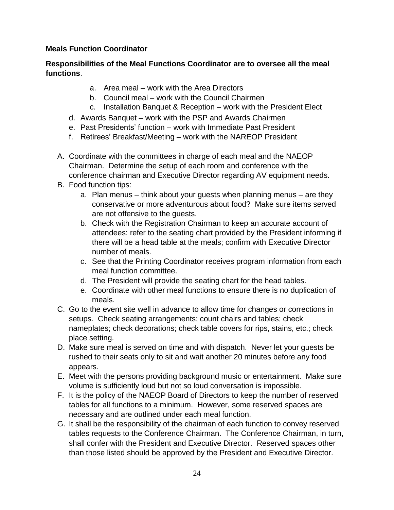## **Meals Function Coordinator**

## **Responsibilities of the Meal Functions Coordinator are to oversee all the meal functions**.

- a. Area meal work with the Area Directors
- b. Council meal work with the Council Chairmen
- c. Installation Banquet & Reception work with the President Elect
- d. Awards Banquet work with the PSP and Awards Chairmen
- e. Past Presidents' function work with Immediate Past President
- f. Retirees' Breakfast/Meeting work with the NAREOP President
- A. Coordinate with the committees in charge of each meal and the NAEOP Chairman. Determine the setup of each room and conference with the conference chairman and Executive Director regarding AV equipment needs.
- B. Food function tips:
	- a. Plan menus think about your guests when planning menus are they conservative or more adventurous about food? Make sure items served are not offensive to the guests.
	- b. Check with the Registration Chairman to keep an accurate account of attendees: refer to the seating chart provided by the President informing if there will be a head table at the meals; confirm with Executive Director number of meals.
	- c. See that the Printing Coordinator receives program information from each meal function committee.
	- d. The President will provide the seating chart for the head tables.
	- e. Coordinate with other meal functions to ensure there is no duplication of meals.
- C. Go to the event site well in advance to allow time for changes or corrections in setups. Check seating arrangements; count chairs and tables; check nameplates; check decorations; check table covers for rips, stains, etc.; check place setting.
- D. Make sure meal is served on time and with dispatch. Never let your guests be rushed to their seats only to sit and wait another 20 minutes before any food appears.
- E. Meet with the persons providing background music or entertainment. Make sure volume is sufficiently loud but not so loud conversation is impossible.
- F. It is the policy of the NAEOP Board of Directors to keep the number of reserved tables for all functions to a minimum. However, some reserved spaces are necessary and are outlined under each meal function.
- G. It shall be the responsibility of the chairman of each function to convey reserved tables requests to the Conference Chairman. The Conference Chairman, in turn, shall confer with the President and Executive Director. Reserved spaces other than those listed should be approved by the President and Executive Director.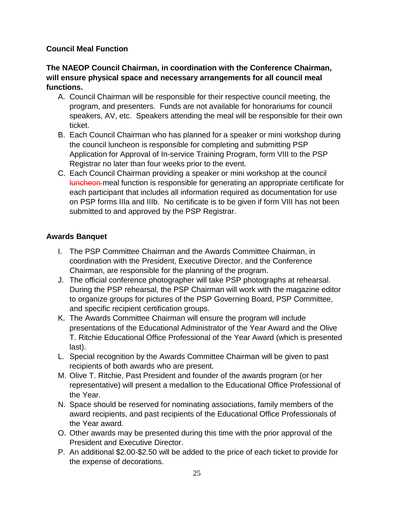## **Council Meal Function**

## **The NAEOP Council Chairman, in coordination with the Conference Chairman, will ensure physical space and necessary arrangements for all council meal functions.**

- A. Council Chairman will be responsible for their respective council meeting, the program, and presenters. Funds are not available for honorariums for council speakers, AV, etc. Speakers attending the meal will be responsible for their own ticket.
- B. Each Council Chairman who has planned for a speaker or mini workshop during the council luncheon is responsible for completing and submitting PSP Application for Approval of In-service Training Program, form VIII to the PSP Registrar no later than four weeks prior to the event.
- C. Each Council Chairman providing a speaker or mini workshop at the council luncheon meal function is responsible for generating an appropriate certificate for each participant that includes all information required as documentation for use on PSP forms IIIa and IIIb. No certificate is to be given if form VIII has not been submitted to and approved by the PSP Registrar.

# **Awards Banquet**

- I. The PSP Committee Chairman and the Awards Committee Chairman, in coordination with the President, Executive Director, and the Conference Chairman, are responsible for the planning of the program.
- J. The official conference photographer will take PSP photographs at rehearsal. During the PSP rehearsal, the PSP Chairman will work with the magazine editor to organize groups for pictures of the PSP Governing Board, PSP Committee, and specific recipient certification groups.
- K. The Awards Committee Chairman will ensure the program will include presentations of the Educational Administrator of the Year Award and the Olive T. Ritchie Educational Office Professional of the Year Award (which is presented last).
- L. Special recognition by the Awards Committee Chairman will be given to past recipients of both awards who are present.
- M. Olive T. Ritchie, Past President and founder of the awards program (or her representative) will present a medallion to the Educational Office Professional of the Year.
- N. Space should be reserved for nominating associations, family members of the award recipients, and past recipients of the Educational Office Professionals of the Year award.
- O. Other awards may be presented during this time with the prior approval of the President and Executive Director.
- P. An additional \$2.00-\$2.50 will be added to the price of each ticket to provide for the expense of decorations.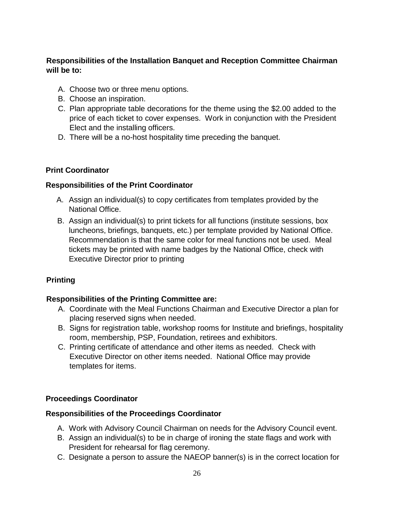# **Responsibilities of the Installation Banquet and Reception Committee Chairman will be to:**

- A. Choose two or three menu options.
- B. Choose an inspiration.
- C. Plan appropriate table decorations for the theme using the \$2.00 added to the price of each ticket to cover expenses. Work in conjunction with the President Elect and the installing officers.
- D. There will be a no-host hospitality time preceding the banquet.

## **Print Coordinator**

## **Responsibilities of the Print Coordinator**

- A. Assign an individual(s) to copy certificates from templates provided by the National Office.
- B. Assign an individual(s) to print tickets for all functions (institute sessions, box luncheons, briefings, banquets, etc.) per template provided by National Office. Recommendation is that the same color for meal functions not be used. Meal tickets may be printed with name badges by the National Office, check with Executive Director prior to printing

## **Printing**

## **Responsibilities of the Printing Committee are:**

- A. Coordinate with the Meal Functions Chairman and Executive Director a plan for placing reserved signs when needed.
- B. Signs for registration table, workshop rooms for Institute and briefings, hospitality room, membership, PSP, Foundation, retirees and exhibitors.
- C. Printing certificate of attendance and other items as needed. Check with Executive Director on other items needed. National Office may provide templates for items.

## **Proceedings Coordinator**

### **Responsibilities of the Proceedings Coordinator**

- A. Work with Advisory Council Chairman on needs for the Advisory Council event.
- B. Assign an individual(s) to be in charge of ironing the state flags and work with President for rehearsal for flag ceremony.
- C. Designate a person to assure the NAEOP banner(s) is in the correct location for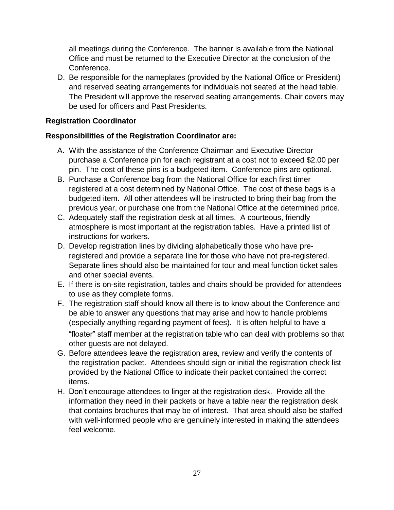all meetings during the Conference. The banner is available from the National Office and must be returned to the Executive Director at the conclusion of the Conference.

D. Be responsible for the nameplates (provided by the National Office or President) and reserved seating arrangements for individuals not seated at the head table. The President will approve the reserved seating arrangements. Chair covers may be used for officers and Past Presidents.

### **Registration Coordinator**

### **Responsibilities of the Registration Coordinator are:**

- A. With the assistance of the Conference Chairman and Executive Director purchase a Conference pin for each registrant at a cost not to exceed \$2.00 per pin. The cost of these pins is a budgeted item. Conference pins are optional.
- B. Purchase a Conference bag from the National Office for each first timer registered at a cost determined by National Office. The cost of these bags is a budgeted item. All other attendees will be instructed to bring their bag from the previous year, or purchase one from the National Office at the determined price.
- C. Adequately staff the registration desk at all times. A courteous, friendly atmosphere is most important at the registration tables. Have a printed list of instructions for workers.
- D. Develop registration lines by dividing alphabetically those who have preregistered and provide a separate line for those who have not pre-registered. Separate lines should also be maintained for tour and meal function ticket sales and other special events.
- E. If there is on-site registration, tables and chairs should be provided for attendees to use as they complete forms.
- F. The registration staff should know all there is to know about the Conference and be able to answer any questions that may arise and how to handle problems (especially anything regarding payment of fees). It is often helpful to have a "floater" staff member at the registration table who can deal with problems so that other guests are not delayed.
- G. Before attendees leave the registration area, review and verify the contents of the registration packet. Attendees should sign or initial the registration check list provided by the National Office to indicate their packet contained the correct items.
- H. Don't encourage attendees to linger at the registration desk. Provide all the information they need in their packets or have a table near the registration desk that contains brochures that may be of interest. That area should also be staffed with well-informed people who are genuinely interested in making the attendees feel welcome.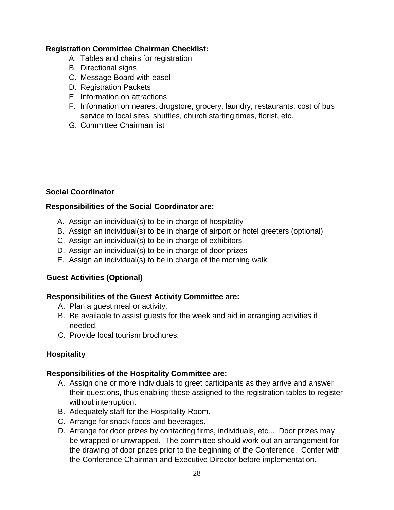## **Registration Committee Chairman Checklist:**

- A. Tables and chairs for registration
- B. Directional signs
- C. Message Board with easel
- D. Registration Packets
- E. Information on attractions
- F. Information on nearest drugstore, grocery, laundry, restaurants, cost of bus service to local sites, shuttles, church starting times, florist, etc.
- G. Committee Chairman list

## **Social Coordinator**

## **Responsibilities of the Social Coordinator are:**

- A. Assign an individual(s) to be in charge of hospitality
- B. Assign an individual(s) to be in charge of airport or hotel greeters (optional)
- C. Assign an individual(s) to be in charge of exhibitors
- D. Assign an individual(s) to be in charge of door prizes
- E. Assign an individual(s) to be in charge of the morning walk

### **Guest Activities (Optional)**

### **Responsibilities of the Guest Activity Committee are:**

- A. Plan a guest meal or activity.
- B. Be available to assist guests for the week and aid in arranging activities if needed.
- C. Provide local tourism brochures.

## **Hospitality**

### **Responsibilities of the Hospitality Committee are:**

- A. Assign one or more individuals to greet participants as they arrive and answer their questions, thus enabling those assigned to the registration tables to register without interruption.
- B. Adequately staff for the Hospitality Room.
- C. Arrange for snack foods and beverages.
- D. Arrange for door prizes by contacting firms, individuals, etc... Door prizes may be wrapped or unwrapped. The committee should work out an arrangement for the drawing of door prizes prior to the beginning of the Conference. Confer with the Conference Chairman and Executive Director before implementation.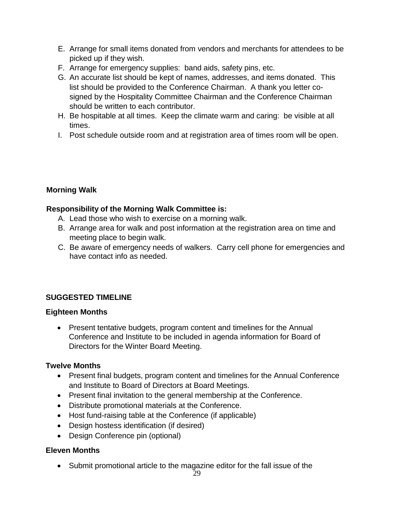- E. Arrange for small items donated from vendors and merchants for attendees to be picked up if they wish.
- F. Arrange for emergency supplies: band aids, safety pins, etc.
- G. An accurate list should be kept of names, addresses, and items donated. This list should be provided to the Conference Chairman. A thank you letter cosigned by the Hospitality Committee Chairman and the Conference Chairman should be written to each contributor.
- H. Be hospitable at all times. Keep the climate warm and caring: be visible at all times.
- I. Post schedule outside room and at registration area of times room will be open.

## **Morning Walk**

## **Responsibility of the Morning Walk Committee is:**

- A. Lead those who wish to exercise on a morning walk.
- B. Arrange area for walk and post information at the registration area on time and meeting place to begin walk.
- C. Be aware of emergency needs of walkers. Carry cell phone for emergencies and have contact info as needed.

## **SUGGESTED TIMELINE**

### **Eighteen Months**

• Present tentative budgets, program content and timelines for the Annual Conference and Institute to be included in agenda information for Board of Directors for the Winter Board Meeting.

## **Twelve Months**

- Present final budgets, program content and timelines for the Annual Conference and Institute to Board of Directors at Board Meetings.
- Present final invitation to the general membership at the Conference.
- Distribute promotional materials at the Conference.
- Host fund-raising table at the Conference (if applicable)
- Design hostess identification (if desired)
- Design Conference pin (optional)

## **Eleven Months**

Submit promotional article to the magazine editor for the fall issue of the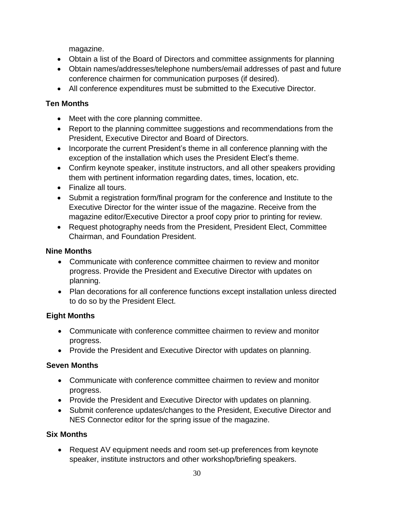magazine.

- Obtain a list of the Board of Directors and committee assignments for planning
- Obtain names/addresses/telephone numbers/email addresses of past and future conference chairmen for communication purposes (if desired).
- All conference expenditures must be submitted to the Executive Director.

# **Ten Months**

- Meet with the core planning committee.
- Report to the planning committee suggestions and recommendations from the President, Executive Director and Board of Directors.
- Incorporate the current President's theme in all conference planning with the exception of the installation which uses the President Elect's theme.
- Confirm keynote speaker, institute instructors, and all other speakers providing them with pertinent information regarding dates, times, location, etc.
- Finalize all tours.
- Submit a registration form/final program for the conference and Institute to the Executive Director for the winter issue of the magazine. Receive from the magazine editor/Executive Director a proof copy prior to printing for review.
- Request photography needs from the President, President Elect, Committee Chairman, and Foundation President.

# **Nine Months**

- Communicate with conference committee chairmen to review and monitor progress. Provide the President and Executive Director with updates on planning.
- Plan decorations for all conference functions except installation unless directed to do so by the President Elect.

# **Eight Months**

- Communicate with conference committee chairmen to review and monitor progress.
- Provide the President and Executive Director with updates on planning.

# **Seven Months**

- Communicate with conference committee chairmen to review and monitor progress.
- Provide the President and Executive Director with updates on planning.
- Submit conference updates/changes to the President, Executive Director and NES Connector editor for the spring issue of the magazine.

# **Six Months**

 Request AV equipment needs and room set-up preferences from keynote speaker, institute instructors and other workshop/briefing speakers.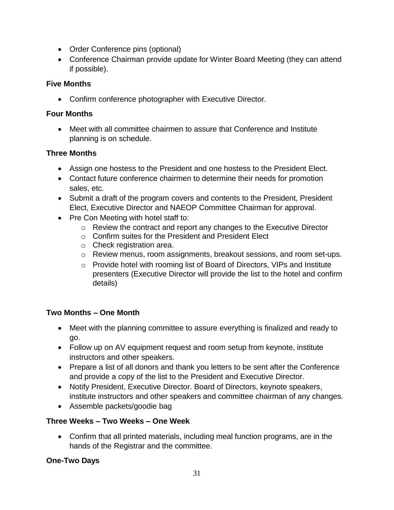- Order Conference pins (optional)
- Conference Chairman provide update for Winter Board Meeting (they can attend if possible).

# **Five Months**

Confirm conference photographer with Executive Director.

## **Four Months**

 Meet with all committee chairmen to assure that Conference and Institute planning is on schedule.

# **Three Months**

- Assign one hostess to the President and one hostess to the President Elect.
- Contact future conference chairmen to determine their needs for promotion sales, etc.
- Submit a draft of the program covers and contents to the President, President Elect, Executive Director and NAEOP Committee Chairman for approval.
- Pre Con Meeting with hotel staff to:
	- o Review the contract and report any changes to the Executive Director
	- o Confirm suites for the President and President Elect
	- o Check registration area.
	- o Review menus, room assignments, breakout sessions, and room set-ups.
	- $\circ$  Provide hotel with rooming list of Board of Directors, VIPs and Institute presenters (Executive Director will provide the list to the hotel and confirm details)

# **Two Months – One Month**

- Meet with the planning committee to assure everything is finalized and ready to go.
- Follow up on AV equipment request and room setup from keynote, institute instructors and other speakers.
- Prepare a list of all donors and thank you letters to be sent after the Conference and provide a copy of the list to the President and Executive Director.
- Notify President, Executive Director. Board of Directors, keynote speakers, institute instructors and other speakers and committee chairman of any changes.
- Assemble packets/goodie bag

# **Three Weeks – Two Weeks – One Week**

 Confirm that all printed materials, including meal function programs, are in the hands of the Registrar and the committee.

# **One-Two Days**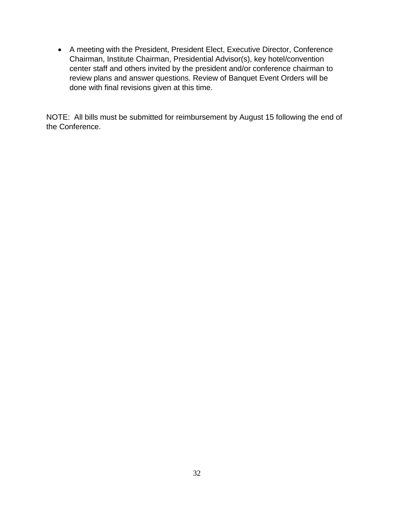A meeting with the President, President Elect, Executive Director, Conference Chairman, Institute Chairman, Presidential Advisor(s), key hotel/convention center staff and others invited by the president and/or conference chairman to review plans and answer questions. Review of Banquet Event Orders will be done with final revisions given at this time.

NOTE: All bills must be submitted for reimbursement by August 15 following the end of the Conference.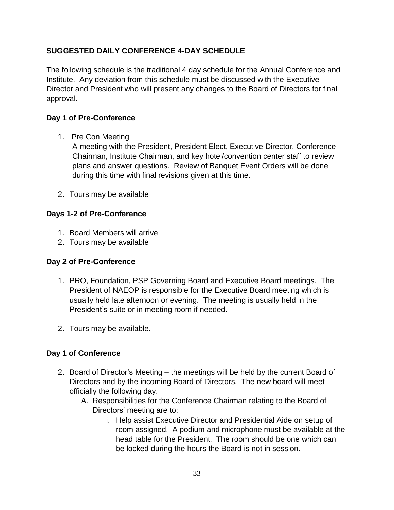# **SUGGESTED DAILY CONFERENCE 4-DAY SCHEDULE**

The following schedule is the traditional 4 day schedule for the Annual Conference and Institute. Any deviation from this schedule must be discussed with the Executive Director and President who will present any changes to the Board of Directors for final approval.

## **Day 1 of Pre-Conference**

1. Pre Con Meeting

A meeting with the President, President Elect, Executive Director, Conference Chairman, Institute Chairman, and key hotel/convention center staff to review plans and answer questions. Review of Banquet Event Orders will be done during this time with final revisions given at this time.

2. Tours may be available

## **Days 1-2 of Pre-Conference**

- 1. Board Members will arrive
- 2. Tours may be available

### **Day 2 of Pre-Conference**

- 1. PRO, Foundation, PSP Governing Board and Executive Board meetings. The President of NAEOP is responsible for the Executive Board meeting which is usually held late afternoon or evening. The meeting is usually held in the President's suite or in meeting room if needed.
- 2. Tours may be available.

## **Day 1 of Conference**

- 2. Board of Director's Meeting the meetings will be held by the current Board of Directors and by the incoming Board of Directors. The new board will meet officially the following day.
	- A. Responsibilities for the Conference Chairman relating to the Board of Directors' meeting are to:
		- i. Help assist Executive Director and Presidential Aide on setup of room assigned. A podium and microphone must be available at the head table for the President. The room should be one which can be locked during the hours the Board is not in session.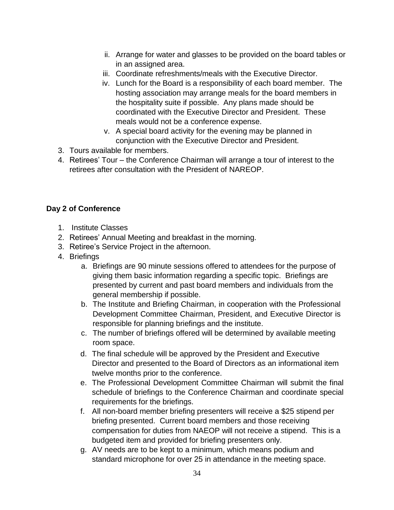- ii. Arrange for water and glasses to be provided on the board tables or in an assigned area.
- iii. Coordinate refreshments/meals with the Executive Director.
- iv. Lunch for the Board is a responsibility of each board member. The hosting association may arrange meals for the board members in the hospitality suite if possible. Any plans made should be coordinated with the Executive Director and President. These meals would not be a conference expense.
- v. A special board activity for the evening may be planned in conjunction with the Executive Director and President.
- 3. Tours available for members.
- 4. Retirees' Tour the Conference Chairman will arrange a tour of interest to the retirees after consultation with the President of NAREOP.

# **Day 2 of Conference**

- 1. Institute Classes
- 2. Retirees' Annual Meeting and breakfast in the morning.
- 3. Retiree's Service Project in the afternoon.
- 4. Briefings
	- a. Briefings are 90 minute sessions offered to attendees for the purpose of giving them basic information regarding a specific topic. Briefings are presented by current and past board members and individuals from the general membership if possible.
	- b. The Institute and Briefing Chairman, in cooperation with the Professional Development Committee Chairman, President, and Executive Director is responsible for planning briefings and the institute.
	- c. The number of briefings offered will be determined by available meeting room space.
	- d. The final schedule will be approved by the President and Executive Director and presented to the Board of Directors as an informational item twelve months prior to the conference.
	- e. The Professional Development Committee Chairman will submit the final schedule of briefings to the Conference Chairman and coordinate special requirements for the briefings.
	- f. All non-board member briefing presenters will receive a \$25 stipend per briefing presented. Current board members and those receiving compensation for duties from NAEOP will not receive a stipend. This is a budgeted item and provided for briefing presenters only.
	- g. AV needs are to be kept to a minimum, which means podium and standard microphone for over 25 in attendance in the meeting space.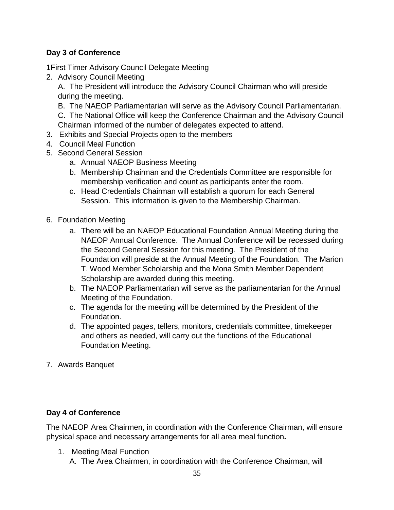# **Day 3 of Conference**

1First Timer Advisory Council Delegate Meeting

2. Advisory Council Meeting

A. The President will introduce the Advisory Council Chairman who will preside during the meeting.

B. The NAEOP Parliamentarian will serve as the Advisory Council Parliamentarian.

C. The National Office will keep the Conference Chairman and the Advisory Council Chairman informed of the number of delegates expected to attend.

- 3. Exhibits and Special Projects open to the members
- 4. Council Meal Function
- 5. Second General Session
	- a. Annual NAEOP Business Meeting
	- b. Membership Chairman and the Credentials Committee are responsible for membership verification and count as participants enter the room.
	- c. Head Credentials Chairman will establish a quorum for each General Session. This information is given to the Membership Chairman.
- 6. Foundation Meeting
	- a. There will be an NAEOP Educational Foundation Annual Meeting during the NAEOP Annual Conference. The Annual Conference will be recessed during the Second General Session for this meeting. The President of the Foundation will preside at the Annual Meeting of the Foundation. The Marion T. Wood Member Scholarship and the Mona Smith Member Dependent Scholarship are awarded during this meeting.
	- b. The NAEOP Parliamentarian will serve as the parliamentarian for the Annual Meeting of the Foundation.
	- c. The agenda for the meeting will be determined by the President of the Foundation.
	- d. The appointed pages, tellers, monitors, credentials committee, timekeeper and others as needed, will carry out the functions of the Educational Foundation Meeting.
- 7. Awards Banquet

### **Day 4 of Conference**

The NAEOP Area Chairmen, in coordination with the Conference Chairman, will ensure physical space and necessary arrangements for all area meal function**.**

- 1. Meeting Meal Function
	- A. The Area Chairmen, in coordination with the Conference Chairman, will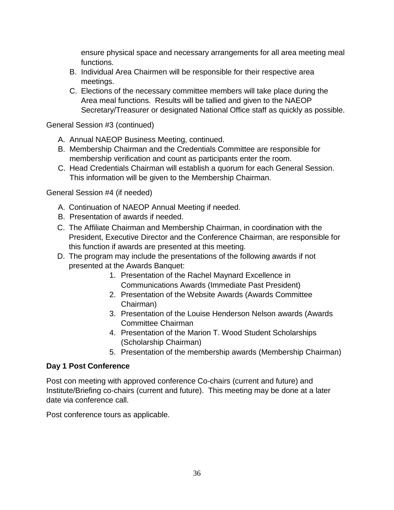ensure physical space and necessary arrangements for all area meeting meal functions.

- B. Individual Area Chairmen will be responsible for their respective area meetings.
- C. Elections of the necessary committee members will take place during the Area meal functions. Results will be tallied and given to the NAEOP Secretary/Treasurer or designated National Office staff as quickly as possible.

General Session #3 (continued)

- A. Annual NAEOP Business Meeting, continued.
- B. Membership Chairman and the Credentials Committee are responsible for membership verification and count as participants enter the room.
- C. Head Credentials Chairman will establish a quorum for each General Session. This information will be given to the Membership Chairman.

General Session #4 (if needed)

- A. Continuation of NAEOP Annual Meeting if needed.
- B. Presentation of awards if needed.
- C. The Affiliate Chairman and Membership Chairman, in coordination with the President, Executive Director and the Conference Chairman, are responsible for this function if awards are presented at this meeting.
- D. The program may include the presentations of the following awards if not presented at the Awards Banquet:
	- 1. Presentation of the Rachel Maynard Excellence in Communications Awards (Immediate Past President)
	- 2. Presentation of the Website Awards (Awards Committee Chairman)
	- 3. Presentation of the Louise Henderson Nelson awards (Awards Committee Chairman
	- 4. Presentation of the Marion T. Wood Student Scholarships (Scholarship Chairman)
	- 5. Presentation of the membership awards (Membership Chairman)

### **Day 1 Post Conference**

Post con meeting with approved conference Co-chairs (current and future) and Institute/Briefing co-chairs (current and future). This meeting may be done at a later date via conference call.

Post conference tours as applicable.